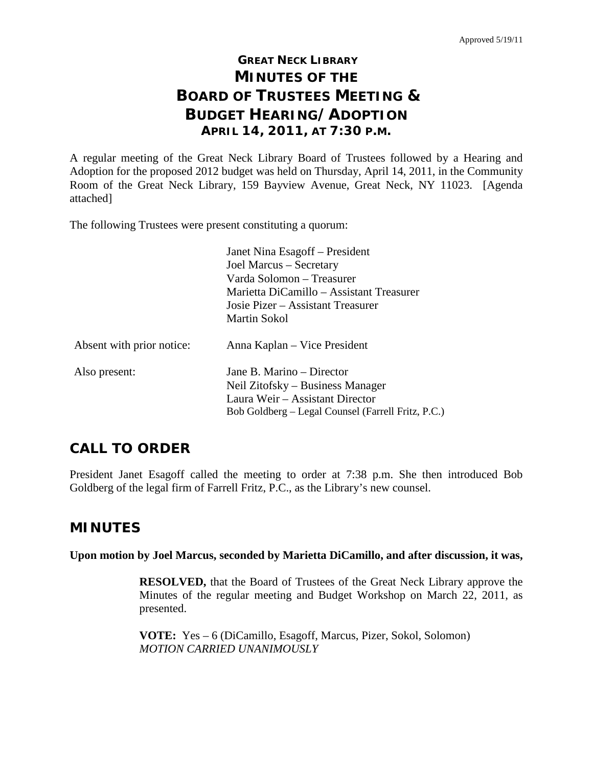# **GREAT NECK LIBRARY MINUTES OF THE BOARD OF TRUSTEES MEETING & BUDGET HEARING/ADOPTION APRIL 14, 2011, AT 7:30 P.M.**

A regular meeting of the Great Neck Library Board of Trustees followed by a Hearing and Adoption for the proposed 2012 budget was held on Thursday, April 14, 2011, in the Community Room of the Great Neck Library, 159 Bayview Avenue, Great Neck, NY 11023. [Agenda attached]

The following Trustees were present constituting a quorum:

|                           | Janet Nina Esagoff – President                     |
|---------------------------|----------------------------------------------------|
|                           | Joel Marcus – Secretary                            |
|                           | Varda Solomon – Treasurer                          |
|                           | Marietta DiCamillo – Assistant Treasurer           |
|                           | Josie Pizer – Assistant Treasurer                  |
|                           | Martin Sokol                                       |
| Absent with prior notice: | Anna Kaplan – Vice President                       |
| Also present:             | Jane B. Marino – Director                          |
|                           | Neil Zitofsky – Business Manager                   |
|                           | Laura Weir – Assistant Director                    |
|                           | Bob Goldberg – Legal Counsel (Farrell Fritz, P.C.) |

## **CALL TO ORDER**

President Janet Esagoff called the meeting to order at 7:38 p.m. She then introduced Bob Goldberg of the legal firm of Farrell Fritz, P.C., as the Library's new counsel.

## **MINUTES**

**Upon motion by Joel Marcus, seconded by Marietta DiCamillo, and after discussion, it was,**

**RESOLVED,** that the Board of Trustees of the Great Neck Library approve the Minutes of the regular meeting and Budget Workshop on March 22, 2011, as presented.

**VOTE:** Yes – 6 (DiCamillo, Esagoff, Marcus, Pizer, Sokol, Solomon) *MOTION CARRIED UNANIMOUSLY*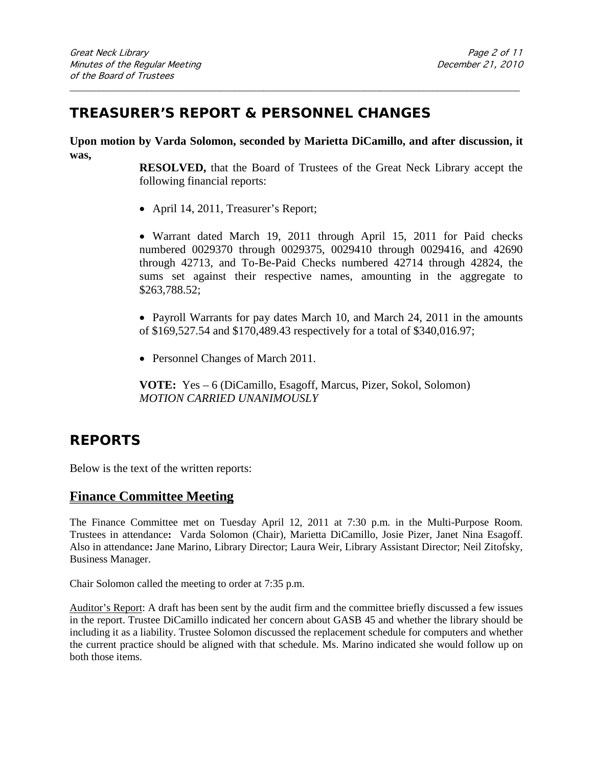## **TREASURER'S REPORT & PERSONNEL CHANGES**

**Upon motion by Varda Solomon, seconded by Marietta DiCamillo, and after discussion, it was,**

\_\_\_\_\_\_\_\_\_\_\_\_\_\_\_\_\_\_\_\_\_\_\_\_\_\_\_\_\_\_\_\_\_\_\_\_\_\_\_\_\_\_\_\_\_\_\_\_\_\_\_\_\_\_\_\_\_\_\_\_\_\_\_\_\_\_\_\_\_\_\_\_\_\_\_\_\_\_\_\_\_\_\_\_\_\_\_\_\_\_\_\_\_

**RESOLVED,** that the Board of Trustees of the Great Neck Library accept the following financial reports:

• April 14, 2011, Treasurer's Report;

• Warrant dated March 19, 2011 through April 15, 2011 for Paid checks numbered 0029370 through 0029375, 0029410 through 0029416, and 42690 through 42713, and To-Be-Paid Checks numbered 42714 through 42824, the sums set against their respective names, amounting in the aggregate to \$263,788.52;

• Payroll Warrants for pay dates March 10, and March 24, 2011 in the amounts of \$169,527.54 and \$170,489.43 respectively for a total of \$340,016.97;

• Personnel Changes of March 2011.

**VOTE:** Yes – 6 (DiCamillo, Esagoff, Marcus, Pizer, Sokol, Solomon) *MOTION CARRIED UNANIMOUSLY*

## **REPORTS**

Below is the text of the written reports:

### **Finance Committee Meeting**

The Finance Committee met on Tuesday April 12, 2011 at 7:30 p.m. in the Multi-Purpose Room. Trustees in attendance**:** Varda Solomon (Chair), Marietta DiCamillo, Josie Pizer, Janet Nina Esagoff. Also in attendance**:** Jane Marino, Library Director; Laura Weir, Library Assistant Director; Neil Zitofsky, Business Manager.

Chair Solomon called the meeting to order at 7:35 p.m.

Auditor's Report: A draft has been sent by the audit firm and the committee briefly discussed a few issues in the report. Trustee DiCamillo indicated her concern about GASB 45 and whether the library should be including it as a liability. Trustee Solomon discussed the replacement schedule for computers and whether the current practice should be aligned with that schedule. Ms. Marino indicated she would follow up on both those items.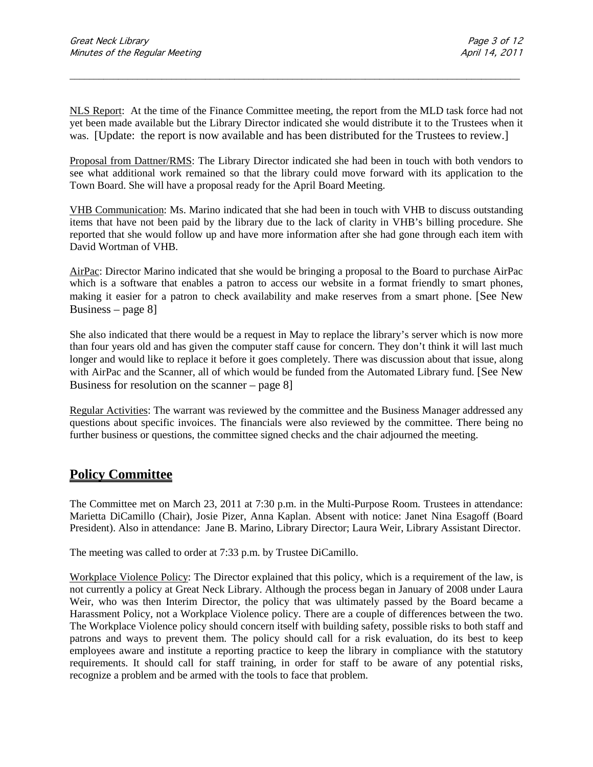NLS Report:At the time of the Finance Committee meeting, the report from the MLD task force had not yet been made available but the Library Director indicated she would distribute it to the Trustees when it was. [Update: the report is now available and has been distributed for the Trustees to review.]

\_\_\_\_\_\_\_\_\_\_\_\_\_\_\_\_\_\_\_\_\_\_\_\_\_\_\_\_\_\_\_\_\_\_\_\_\_\_\_\_\_\_\_\_\_\_\_\_\_\_\_\_\_\_\_\_\_\_\_\_\_\_\_\_\_\_\_\_\_\_\_\_\_\_\_\_\_\_\_\_\_\_\_\_\_\_\_\_\_\_\_\_\_

Proposal from Dattner/RMS: The Library Director indicated she had been in touch with both vendors to see what additional work remained so that the library could move forward with its application to the Town Board. She will have a proposal ready for the April Board Meeting.

VHB Communication: Ms. Marino indicated that she had been in touch with VHB to discuss outstanding items that have not been paid by the library due to the lack of clarity in VHB's billing procedure. She reported that she would follow up and have more information after she had gone through each item with David Wortman of VHB.

AirPac: Director Marino indicated that she would be bringing a proposal to the Board to purchase AirPac which is a software that enables a patron to access our website in a format friendly to smart phones, making it easier for a patron to check availability and make reserves from a smart phone. [See New Business – page 8]

She also indicated that there would be a request in May to replace the library's server which is now more than four years old and has given the computer staff cause for concern. They don't think it will last much longer and would like to replace it before it goes completely. There was discussion about that issue, along with AirPac and the Scanner, all of which would be funded from the Automated Library fund. [See New Business for resolution on the scanner – page 8]

Regular Activities: The warrant was reviewed by the committee and the Business Manager addressed any questions about specific invoices. The financials were also reviewed by the committee. There being no further business or questions, the committee signed checks and the chair adjourned the meeting.

## **Policy Committee**

The Committee met on March 23, 2011 at 7:30 p.m. in the Multi-Purpose Room. Trustees in attendance: Marietta DiCamillo (Chair), Josie Pizer, Anna Kaplan. Absent with notice: Janet Nina Esagoff (Board President). Also in attendance:Jane B. Marino, Library Director; Laura Weir, Library Assistant Director.

The meeting was called to order at 7:33 p.m. by Trustee DiCamillo.

Workplace Violence Policy: The Director explained that this policy, which is a requirement of the law, is not currently a policy at Great Neck Library. Although the process began in January of 2008 under Laura Weir, who was then Interim Director, the policy that was ultimately passed by the Board became a Harassment Policy, not a Workplace Violence policy. There are a couple of differences between the two. The Workplace Violence policy should concern itself with building safety, possible risks to both staff and patrons and ways to prevent them. The policy should call for a risk evaluation, do its best to keep employees aware and institute a reporting practice to keep the library in compliance with the statutory requirements. It should call for staff training, in order for staff to be aware of any potential risks, recognize a problem and be armed with the tools to face that problem.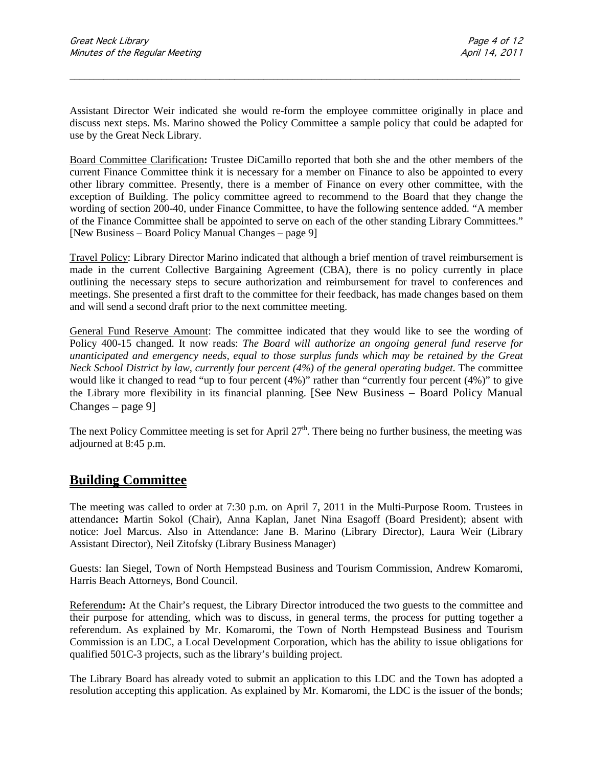Assistant Director Weir indicated she would re-form the employee committee originally in place and discuss next steps. Ms. Marino showed the Policy Committee a sample policy that could be adapted for use by the Great Neck Library.

\_\_\_\_\_\_\_\_\_\_\_\_\_\_\_\_\_\_\_\_\_\_\_\_\_\_\_\_\_\_\_\_\_\_\_\_\_\_\_\_\_\_\_\_\_\_\_\_\_\_\_\_\_\_\_\_\_\_\_\_\_\_\_\_\_\_\_\_\_\_\_\_\_\_\_\_\_\_\_\_\_\_\_\_\_\_\_\_\_\_\_\_\_

Board Committee Clarification**:** Trustee DiCamillo reported that both she and the other members of the current Finance Committee think it is necessary for a member on Finance to also be appointed to every other library committee. Presently, there is a member of Finance on every other committee, with the exception of Building. The policy committee agreed to recommend to the Board that they change the wording of section 200-40, under Finance Committee, to have the following sentence added. "A member of the Finance Committee shall be appointed to serve on each of the other standing Library Committees." [New Business – Board Policy Manual Changes – page 9]

Travel Policy: Library Director Marino indicated that although a brief mention of travel reimbursement is made in the current Collective Bargaining Agreement (CBA), there is no policy currently in place outlining the necessary steps to secure authorization and reimbursement for travel to conferences and meetings. She presented a first draft to the committee for their feedback, has made changes based on them and will send a second draft prior to the next committee meeting.

General Fund Reserve Amount: The committee indicated that they would like to see the wording of Policy 400-15 changed. It now reads: *The Board will authorize an ongoing general fund reserve for unanticipated and emergency needs, equal to those surplus funds which may be retained by the Great Neck School District by law, currently four percent (4%) of the general operating budget.* The committee would like it changed to read "up to four percent (4%)" rather than "currently four percent (4%)" to give the Library more flexibility in its financial planning. [See New Business – Board Policy Manual Changes – page 9]

The next Policy Committee meeting is set for April  $27<sup>th</sup>$ . There being no further business, the meeting was adjourned at 8:45 p.m.

### **Building Committee**

The meeting was called to order at 7:30 p.m. on April 7, 2011 in the Multi-Purpose Room. Trustees in attendance**:** Martin Sokol (Chair), Anna Kaplan, Janet Nina Esagoff (Board President); absent with notice: Joel Marcus. Also in Attendance: Jane B. Marino (Library Director), Laura Weir (Library Assistant Director), Neil Zitofsky (Library Business Manager)

Guests: Ian Siegel, Town of North Hempstead Business and Tourism Commission, Andrew Komaromi, Harris Beach Attorneys, Bond Council.

Referendum**:** At the Chair's request, the Library Director introduced the two guests to the committee and their purpose for attending, which was to discuss, in general terms, the process for putting together a referendum. As explained by Mr. Komaromi, the Town of North Hempstead Business and Tourism Commission is an LDC, a Local Development Corporation, which has the ability to issue obligations for qualified 501C-3 projects, such as the library's building project.

The Library Board has already voted to submit an application to this LDC and the Town has adopted a resolution accepting this application. As explained by Mr. Komaromi, the LDC is the issuer of the bonds;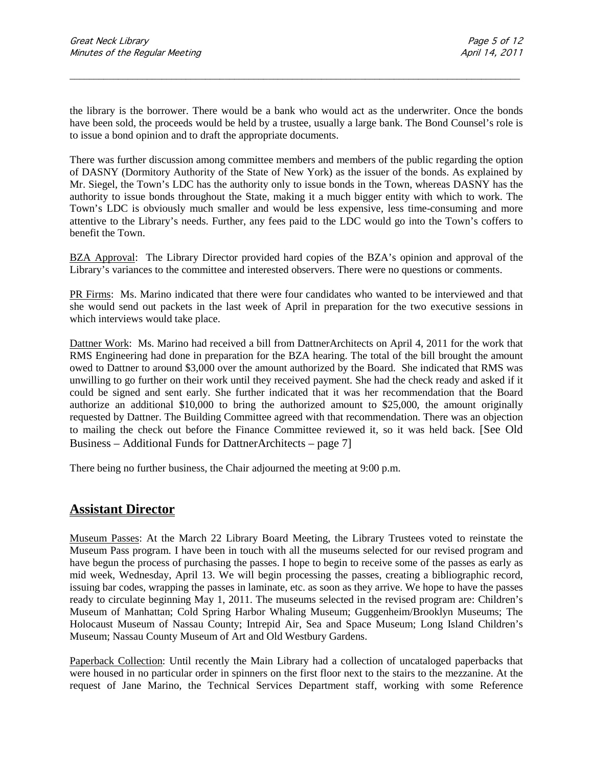the library is the borrower. There would be a bank who would act as the underwriter. Once the bonds have been sold, the proceeds would be held by a trustee, usually a large bank. The Bond Counsel's role is to issue a bond opinion and to draft the appropriate documents.

\_\_\_\_\_\_\_\_\_\_\_\_\_\_\_\_\_\_\_\_\_\_\_\_\_\_\_\_\_\_\_\_\_\_\_\_\_\_\_\_\_\_\_\_\_\_\_\_\_\_\_\_\_\_\_\_\_\_\_\_\_\_\_\_\_\_\_\_\_\_\_\_\_\_\_\_\_\_\_\_\_\_\_\_\_\_\_\_\_\_\_\_\_

There was further discussion among committee members and members of the public regarding the option of DASNY (Dormitory Authority of the State of New York) as the issuer of the bonds. As explained by Mr. Siegel, the Town's LDC has the authority only to issue bonds in the Town, whereas DASNY has the authority to issue bonds throughout the State, making it a much bigger entity with which to work. The Town's LDC is obviously much smaller and would be less expensive, less time-consuming and more attentive to the Library's needs. Further, any fees paid to the LDC would go into the Town's coffers to benefit the Town.

BZA Approval:The Library Director provided hard copies of the BZA's opinion and approval of the Library's variances to the committee and interested observers. There were no questions or comments.

PR Firms: Ms. Marino indicated that there were four candidates who wanted to be interviewed and that she would send out packets in the last week of April in preparation for the two executive sessions in which interviews would take place.

Dattner Work:Ms. Marino had received a bill from DattnerArchitects on April 4, 2011 for the work that RMS Engineering had done in preparation for the BZA hearing. The total of the bill brought the amount owed to Dattner to around \$3,000 over the amount authorized by the Board. She indicated that RMS was unwilling to go further on their work until they received payment. She had the check ready and asked if it could be signed and sent early. She further indicated that it was her recommendation that the Board authorize an additional \$10,000 to bring the authorized amount to \$25,000, the amount originally requested by Dattner. The Building Committee agreed with that recommendation. There was an objection to mailing the check out before the Finance Committee reviewed it, so it was held back. [See Old Business – Additional Funds for DattnerArchitects – page 7]

There being no further business, the Chair adjourned the meeting at 9:00 p.m.

#### **Assistant Director**

Museum Passes: At the March 22 Library Board Meeting, the Library Trustees voted to reinstate the Museum Pass program. I have been in touch with all the museums selected for our revised program and have begun the process of purchasing the passes. I hope to begin to receive some of the passes as early as mid week, Wednesday, April 13. We will begin processing the passes, creating a bibliographic record, issuing bar codes, wrapping the passes in laminate, etc. as soon as they arrive. We hope to have the passes ready to circulate beginning May 1, 2011. The museums selected in the revised program are: Children's Museum of Manhattan; Cold Spring Harbor Whaling Museum; Guggenheim/Brooklyn Museums; The Holocaust Museum of Nassau County; Intrepid Air, Sea and Space Museum; Long Island Children's Museum; Nassau County Museum of Art and Old Westbury Gardens.

Paperback Collection: Until recently the Main Library had a collection of uncataloged paperbacks that were housed in no particular order in spinners on the first floor next to the stairs to the mezzanine. At the request of Jane Marino, the Technical Services Department staff, working with some Reference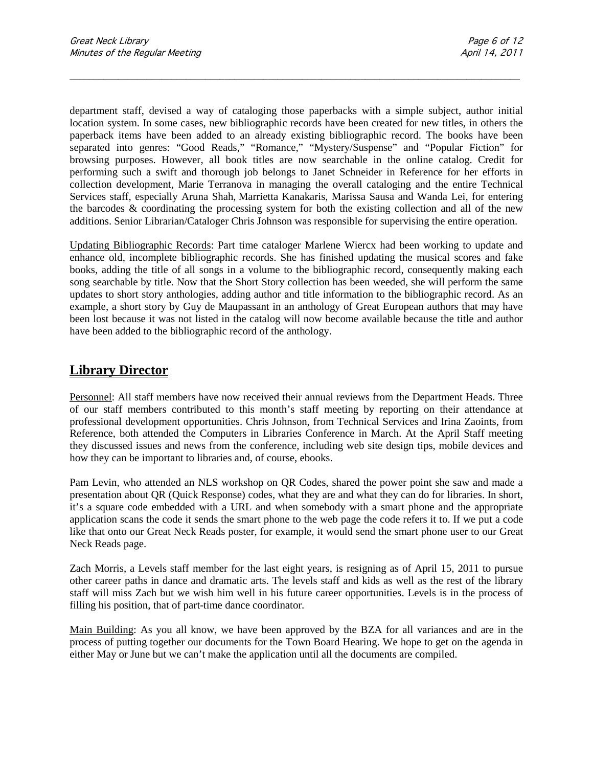department staff, devised a way of cataloging those paperbacks with a simple subject, author initial location system. In some cases, new bibliographic records have been created for new titles, in others the paperback items have been added to an already existing bibliographic record. The books have been separated into genres: "Good Reads," "Romance," "Mystery/Suspense" and "Popular Fiction" for browsing purposes. However, all book titles are now searchable in the online catalog. Credit for performing such a swift and thorough job belongs to Janet Schneider in Reference for her efforts in collection development, Marie Terranova in managing the overall cataloging and the entire Technical Services staff, especially Aruna Shah, Marrietta Kanakaris, Marissa Sausa and Wanda Lei, for entering the barcodes & coordinating the processing system for both the existing collection and all of the new additions. Senior Librarian/Cataloger Chris Johnson was responsible for supervising the entire operation.

\_\_\_\_\_\_\_\_\_\_\_\_\_\_\_\_\_\_\_\_\_\_\_\_\_\_\_\_\_\_\_\_\_\_\_\_\_\_\_\_\_\_\_\_\_\_\_\_\_\_\_\_\_\_\_\_\_\_\_\_\_\_\_\_\_\_\_\_\_\_\_\_\_\_\_\_\_\_\_\_\_\_\_\_\_\_\_\_\_\_\_\_\_

Updating Bibliographic Records: Part time cataloger Marlene Wiercx had been working to update and enhance old, incomplete bibliographic records. She has finished updating the musical scores and fake books, adding the title of all songs in a volume to the bibliographic record, consequently making each song searchable by title. Now that the Short Story collection has been weeded, she will perform the same updates to short story anthologies, adding author and title information to the bibliographic record. As an example, a short story by Guy de Maupassant in an anthology of Great European authors that may have been lost because it was not listed in the catalog will now become available because the title and author have been added to the bibliographic record of the anthology.

### **Library Director**

Personnel: All staff members have now received their annual reviews from the Department Heads. Three of our staff members contributed to this month's staff meeting by reporting on their attendance at professional development opportunities. Chris Johnson, from Technical Services and Irina Zaoints, from Reference, both attended the Computers in Libraries Conference in March. At the April Staff meeting they discussed issues and news from the conference, including web site design tips, mobile devices and how they can be important to libraries and, of course, ebooks.

Pam Levin, who attended an NLS workshop on QR Codes, shared the power point she saw and made a presentation about QR (Quick Response) codes, what they are and what they can do for libraries. In short, it's a square code embedded with a URL and when somebody with a smart phone and the appropriate application scans the code it sends the smart phone to the web page the code refers it to. If we put a code like that onto our Great Neck Reads poster, for example, it would send the smart phone user to our Great Neck Reads page.

Zach Morris, a Levels staff member for the last eight years, is resigning as of April 15, 2011 to pursue other career paths in dance and dramatic arts. The levels staff and kids as well as the rest of the library staff will miss Zach but we wish him well in his future career opportunities. Levels is in the process of filling his position, that of part-time dance coordinator.

Main Building: As you all know, we have been approved by the BZA for all variances and are in the process of putting together our documents for the Town Board Hearing. We hope to get on the agenda in either May or June but we can't make the application until all the documents are compiled.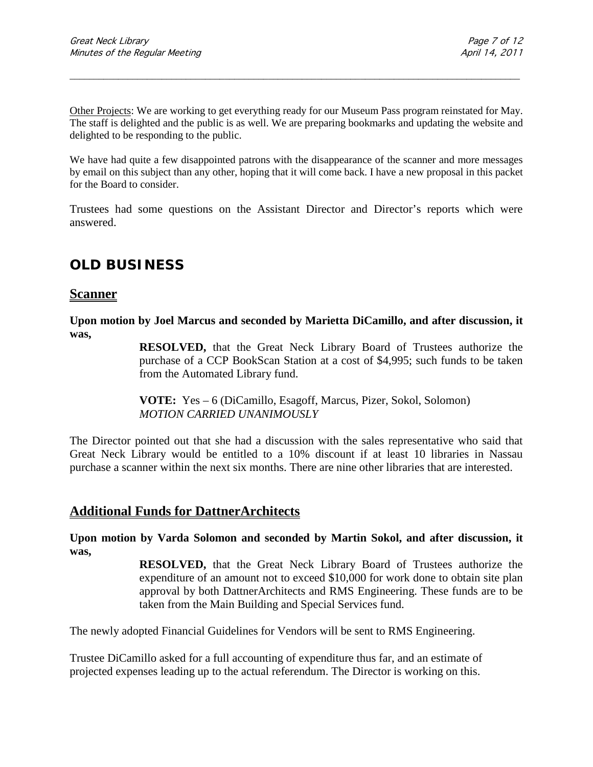Other Projects: We are working to get everything ready for our Museum Pass program reinstated for May. The staff is delighted and the public is as well. We are preparing bookmarks and updating the website and delighted to be responding to the public.

\_\_\_\_\_\_\_\_\_\_\_\_\_\_\_\_\_\_\_\_\_\_\_\_\_\_\_\_\_\_\_\_\_\_\_\_\_\_\_\_\_\_\_\_\_\_\_\_\_\_\_\_\_\_\_\_\_\_\_\_\_\_\_\_\_\_\_\_\_\_\_\_\_\_\_\_\_\_\_\_\_\_\_\_\_\_\_\_\_\_\_\_\_

We have had quite a few disappointed patrons with the disappearance of the scanner and more messages by email on this subject than any other, hoping that it will come back. I have a new proposal in this packet for the Board to consider.

Trustees had some questions on the Assistant Director and Director's reports which were answered.

## **OLD BUSINESS**

#### **Scanner**

**Upon motion by Joel Marcus and seconded by Marietta DiCamillo, and after discussion, it was,**

> **RESOLVED,** that the Great Neck Library Board of Trustees authorize the purchase of a CCP BookScan Station at a cost of \$4,995; such funds to be taken from the Automated Library fund.

**VOTE:** Yes – 6 (DiCamillo, Esagoff, Marcus, Pizer, Sokol, Solomon) *MOTION CARRIED UNANIMOUSLY*

The Director pointed out that she had a discussion with the sales representative who said that Great Neck Library would be entitled to a 10% discount if at least 10 libraries in Nassau purchase a scanner within the next six months. There are nine other libraries that are interested.

#### **Additional Funds for DattnerArchitects**

**Upon motion by Varda Solomon and seconded by Martin Sokol, and after discussion, it was,**

> **RESOLVED,** that the Great Neck Library Board of Trustees authorize the expenditure of an amount not to exceed \$10,000 for work done to obtain site plan approval by both DattnerArchitects and RMS Engineering. These funds are to be taken from the Main Building and Special Services fund.

The newly adopted Financial Guidelines for Vendors will be sent to RMS Engineering.

Trustee DiCamillo asked for a full accounting of expenditure thus far, and an estimate of projected expenses leading up to the actual referendum. The Director is working on this.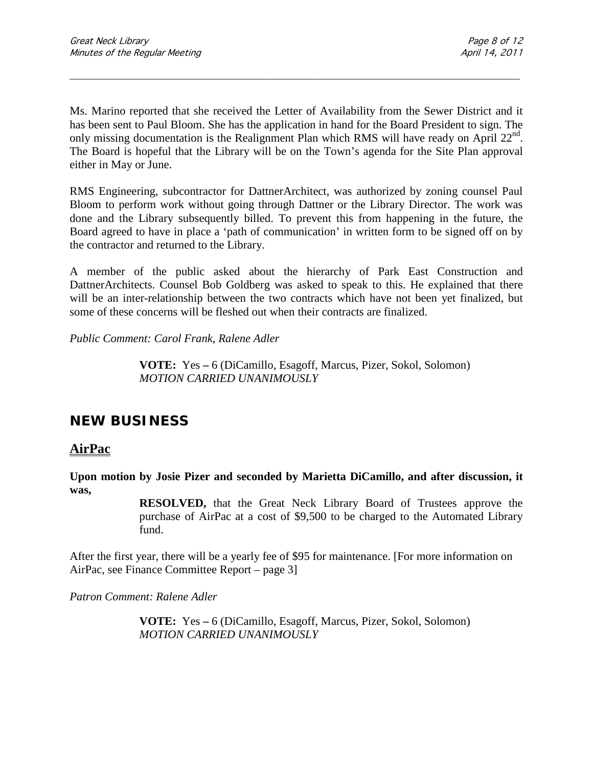Ms. Marino reported that she received the Letter of Availability from the Sewer District and it has been sent to Paul Bloom. She has the application in hand for the Board President to sign. The only missing documentation is the Realignment Plan which RMS will have ready on April  $22<sup>nd</sup>$ . The Board is hopeful that the Library will be on the Town's agenda for the Site Plan approval either in May or June.

\_\_\_\_\_\_\_\_\_\_\_\_\_\_\_\_\_\_\_\_\_\_\_\_\_\_\_\_\_\_\_\_\_\_\_\_\_\_\_\_\_\_\_\_\_\_\_\_\_\_\_\_\_\_\_\_\_\_\_\_\_\_\_\_\_\_\_\_\_\_\_\_\_\_\_\_\_\_\_\_\_\_\_\_\_\_\_\_\_\_\_\_\_

RMS Engineering, subcontractor for DattnerArchitect, was authorized by zoning counsel Paul Bloom to perform work without going through Dattner or the Library Director. The work was done and the Library subsequently billed. To prevent this from happening in the future, the Board agreed to have in place a 'path of communication' in written form to be signed off on by the contractor and returned to the Library.

A member of the public asked about the hierarchy of Park East Construction and DattnerArchitects. Counsel Bob Goldberg was asked to speak to this. He explained that there will be an inter-relationship between the two contracts which have not been yet finalized, but some of these concerns will be fleshed out when their contracts are finalized.

*Public Comment: Carol Frank, Ralene Adler*

**VOTE:** Yes **–** 6 (DiCamillo, Esagoff, Marcus, Pizer, Sokol, Solomon) *MOTION CARRIED UNANIMOUSLY*

## **NEW BUSINESS**

### **AirPac**

**Upon motion by Josie Pizer and seconded by Marietta DiCamillo, and after discussion, it was,**

> **RESOLVED,** that the Great Neck Library Board of Trustees approve the purchase of AirPac at a cost of \$9,500 to be charged to the Automated Library fund.

After the first year, there will be a yearly fee of \$95 for maintenance. [For more information on AirPac, see Finance Committee Report – page 3]

*Patron Comment: Ralene Adler*

**VOTE:** Yes **–** 6 (DiCamillo, Esagoff, Marcus, Pizer, Sokol, Solomon) *MOTION CARRIED UNANIMOUSLY*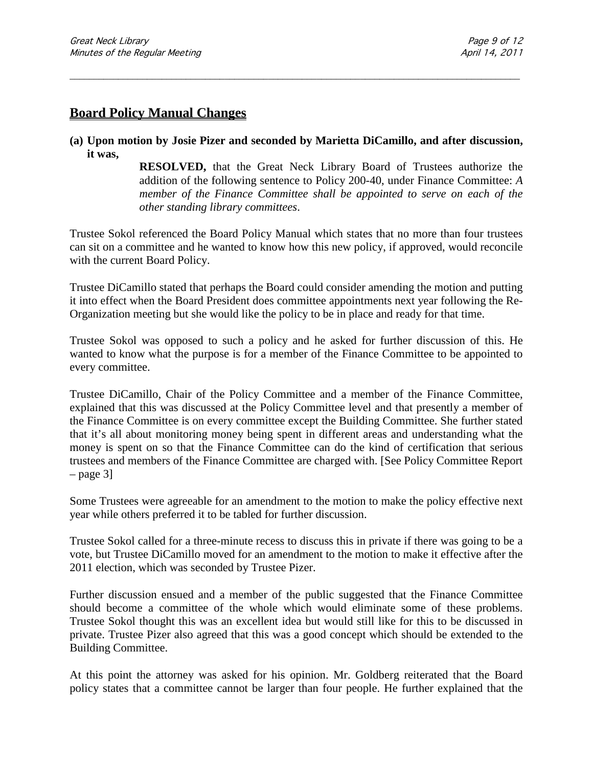### **Board Policy Manual Changes**

**(a) Upon motion by Josie Pizer and seconded by Marietta DiCamillo, and after discussion, it was,**

\_\_\_\_\_\_\_\_\_\_\_\_\_\_\_\_\_\_\_\_\_\_\_\_\_\_\_\_\_\_\_\_\_\_\_\_\_\_\_\_\_\_\_\_\_\_\_\_\_\_\_\_\_\_\_\_\_\_\_\_\_\_\_\_\_\_\_\_\_\_\_\_\_\_\_\_\_\_\_\_\_\_\_\_\_\_\_\_\_\_\_\_\_

**RESOLVED,** that the Great Neck Library Board of Trustees authorize the addition of the following sentence to Policy 200-40, under Finance Committee: *A member of the Finance Committee shall be appointed to serve on each of the other standing library committees*.

Trustee Sokol referenced the Board Policy Manual which states that no more than four trustees can sit on a committee and he wanted to know how this new policy, if approved, would reconcile with the current Board Policy.

Trustee DiCamillo stated that perhaps the Board could consider amending the motion and putting it into effect when the Board President does committee appointments next year following the Re-Organization meeting but she would like the policy to be in place and ready for that time.

Trustee Sokol was opposed to such a policy and he asked for further discussion of this. He wanted to know what the purpose is for a member of the Finance Committee to be appointed to every committee.

Trustee DiCamillo, Chair of the Policy Committee and a member of the Finance Committee, explained that this was discussed at the Policy Committee level and that presently a member of the Finance Committee is on every committee except the Building Committee. She further stated that it's all about monitoring money being spent in different areas and understanding what the money is spent on so that the Finance Committee can do the kind of certification that serious trustees and members of the Finance Committee are charged with. [See Policy Committee Report  $-$  page 3]

Some Trustees were agreeable for an amendment to the motion to make the policy effective next year while others preferred it to be tabled for further discussion.

Trustee Sokol called for a three-minute recess to discuss this in private if there was going to be a vote, but Trustee DiCamillo moved for an amendment to the motion to make it effective after the 2011 election, which was seconded by Trustee Pizer.

Further discussion ensued and a member of the public suggested that the Finance Committee should become a committee of the whole which would eliminate some of these problems. Trustee Sokol thought this was an excellent idea but would still like for this to be discussed in private. Trustee Pizer also agreed that this was a good concept which should be extended to the Building Committee.

At this point the attorney was asked for his opinion. Mr. Goldberg reiterated that the Board policy states that a committee cannot be larger than four people. He further explained that the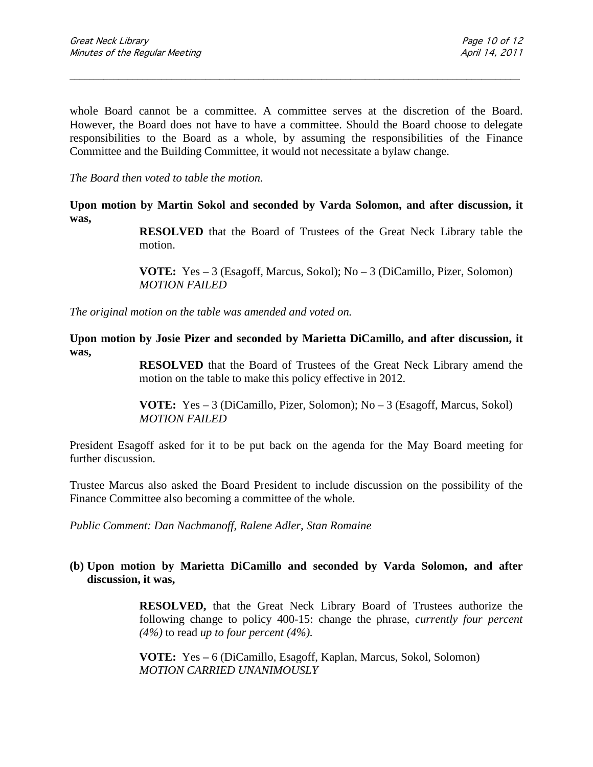whole Board cannot be a committee. A committee serves at the discretion of the Board. However, the Board does not have to have a committee. Should the Board choose to delegate responsibilities to the Board as a whole, by assuming the responsibilities of the Finance Committee and the Building Committee, it would not necessitate a bylaw change.

\_\_\_\_\_\_\_\_\_\_\_\_\_\_\_\_\_\_\_\_\_\_\_\_\_\_\_\_\_\_\_\_\_\_\_\_\_\_\_\_\_\_\_\_\_\_\_\_\_\_\_\_\_\_\_\_\_\_\_\_\_\_\_\_\_\_\_\_\_\_\_\_\_\_\_\_\_\_\_\_\_\_\_\_\_\_\_\_\_\_\_\_\_

*The Board then voted to table the motion.*

**Upon motion by Martin Sokol and seconded by Varda Solomon, and after discussion, it was,**

> **RESOLVED** that the Board of Trustees of the Great Neck Library table the motion.

**VOTE:** Yes – 3 (Esagoff, Marcus, Sokol); No – 3 (DiCamillo, Pizer, Solomon) *MOTION FAILED*

*The original motion on the table was amended and voted on.*

**Upon motion by Josie Pizer and seconded by Marietta DiCamillo, and after discussion, it was,**

> **RESOLVED** that the Board of Trustees of the Great Neck Library amend the motion on the table to make this policy effective in 2012.

**VOTE:** Yes – 3 (DiCamillo, Pizer, Solomon); No – 3 (Esagoff, Marcus, Sokol) *MOTION FAILED*

President Esagoff asked for it to be put back on the agenda for the May Board meeting for further discussion.

Trustee Marcus also asked the Board President to include discussion on the possibility of the Finance Committee also becoming a committee of the whole.

*Public Comment: Dan Nachmanoff, Ralene Adler, Stan Romaine*

#### **(b) Upon motion by Marietta DiCamillo and seconded by Varda Solomon, and after discussion, it was,**

**RESOLVED,** that the Great Neck Library Board of Trustees authorize the following change to policy 400-15: change the phrase, *currently four percent (4%)* to read *up to four percent (4%).*

**VOTE:** Yes **–** 6 (DiCamillo, Esagoff, Kaplan, Marcus, Sokol, Solomon) *MOTION CARRIED UNANIMOUSLY*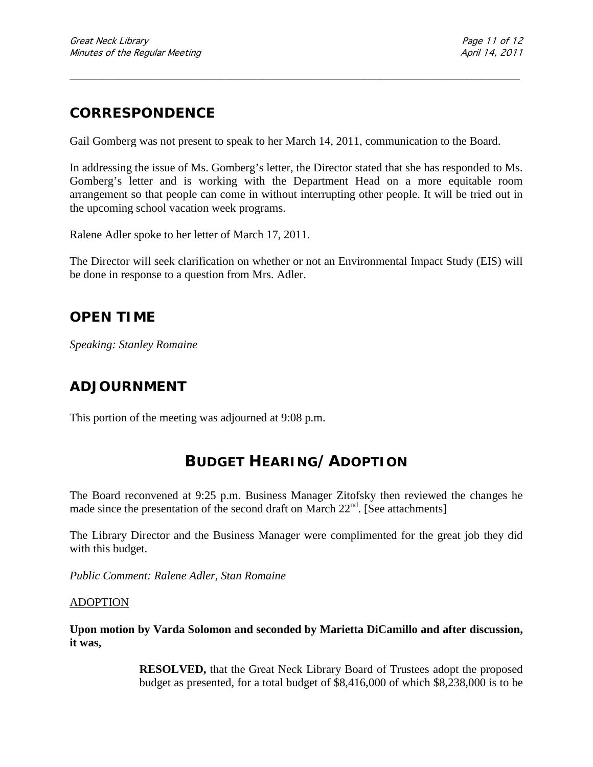## **CORRESPONDENCE**

Gail Gomberg was not present to speak to her March 14, 2011, communication to the Board.

\_\_\_\_\_\_\_\_\_\_\_\_\_\_\_\_\_\_\_\_\_\_\_\_\_\_\_\_\_\_\_\_\_\_\_\_\_\_\_\_\_\_\_\_\_\_\_\_\_\_\_\_\_\_\_\_\_\_\_\_\_\_\_\_\_\_\_\_\_\_\_\_\_\_\_\_\_\_\_\_\_\_\_\_\_\_\_\_\_\_\_\_\_

In addressing the issue of Ms. Gomberg's letter, the Director stated that she has responded to Ms. Gomberg's letter and is working with the Department Head on a more equitable room arrangement so that people can come in without interrupting other people. It will be tried out in the upcoming school vacation week programs.

Ralene Adler spoke to her letter of March 17, 2011.

The Director will seek clarification on whether or not an Environmental Impact Study (EIS) will be done in response to a question from Mrs. Adler.

### **OPEN TIME**

*Speaking: Stanley Romaine*

## **ADJOURNMENT**

This portion of the meeting was adjourned at 9:08 p.m.

## **BUDGET HEARING/ADOPTION**

The Board reconvened at 9:25 p.m. Business Manager Zitofsky then reviewed the changes he made since the presentation of the second draft on March  $22<sup>nd</sup>$ . [See attachments]

The Library Director and the Business Manager were complimented for the great job they did with this budget.

*Public Comment: Ralene Adler, Stan Romaine*

#### ADOPTION

**Upon motion by Varda Solomon and seconded by Marietta DiCamillo and after discussion, it was,**

> **RESOLVED,** that the Great Neck Library Board of Trustees adopt the proposed budget as presented, for a total budget of \$8,416,000 of which \$8,238,000 is to be